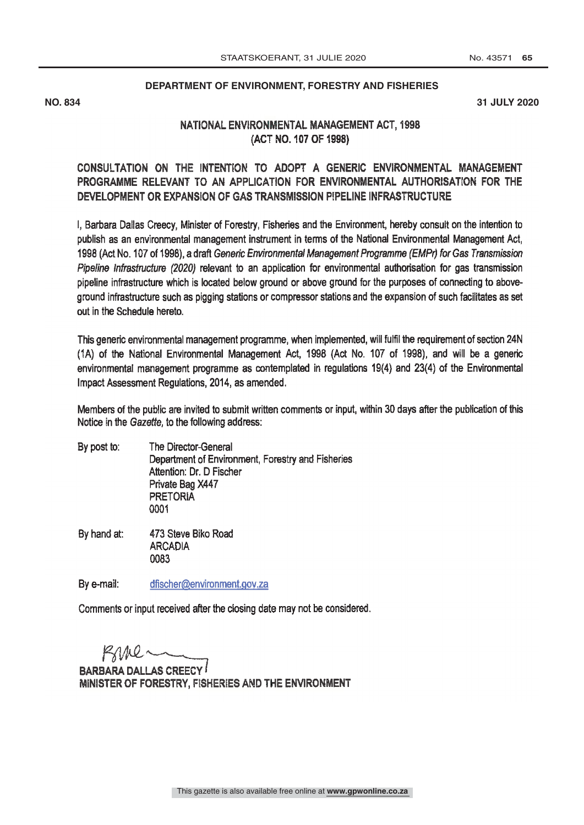## **DEPARTMENT OF ENVIRONMENT, FORESTRY AND FISHERIES**

**NO. 834 31 JULY 2020**

## NATIONAL ENVIRONMENTAL MANAGEMENT ACT, 1998 (ACT NO. 107 OF 1998)

## CONSULTATION ON THE INTENTION TO ADOPT A GENERIC ENVIRONMENTAL MANAGEMENT PROGRAMME RELEVANT TO AN APPLICATION FOR ENVIRONMENTAL AUTHORISATION FOR THE DEVELOPMENT OR EXPANSION OF GAS TRANSMISSION PIPELINE INFRASTRUCTURE

I, Barbara Dallas Creecy, Minister of Forestry, Fisheries and the Environment, hereby consult on the intention to publish as an environmental management instrument in terms of the National Environmental Management Act, 1998 (Act No. 107 of 1998), a draft Generic Environmental Management Programme (EMPr) for Gas Transmission Pipeline Infrastructure (2020) relevant to an application for environmental authorisation for gas transmission pipeline infrastructure which is located below ground or above ground for the purposes of connecting to aboveground infrastructure such as pigging stations or compressor stations and the expansion of such facilitates as set out in the Schedule hereto.

This generic environmental management programme, when implemented, will fulfil the requirement of section 24N (1A) of the National Environmental Management Act, 1998 (Act No. 107 of 1998), and will be a generic environmental management programme as contemplated in regulations 19(4) and 23(4) of the Environmental Impact Assessment Regulations, 2014, as amended.

Members of the public are invited to submit written comments or input, within 30 days after the publication of this Notice in the Gazette, to the following address:

- By post to: The Director -General Department of Environment, Forestry and Fisheries Attention: Dr. D Fischer Private Bag X447 PRETORIA 0001
- 473 Steve Biko Road By hand at: **ARCADIA** 0083

By e-mail: dfischer@environment.gov.za

Comments or input received after the closing date may not be considered.

Kine-

BARBARA DALLAS CREECY MINISTER OF FORESTRY, FISHERIES AND THE ENVIRONMENT